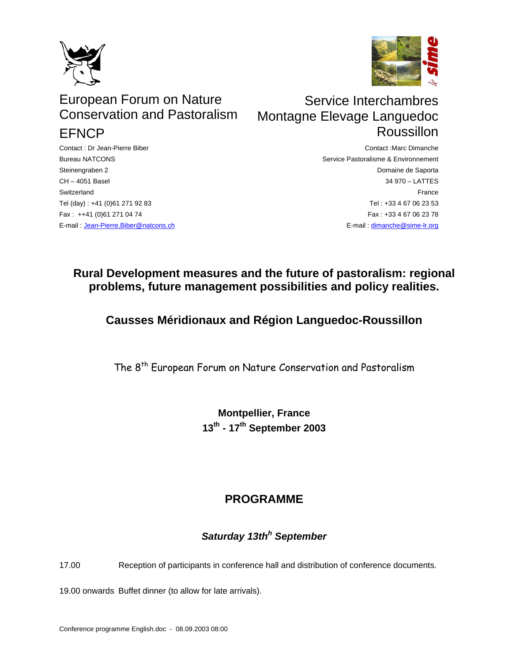



# European Forum on Nature Conservation and Pastoralism **FFNCP**

Contact : Dr Jean-Pierre Biber Bureau NATCONS Steinengraben 2 CH – 4051 Basel **Switzerland** Tel (day) : +41 (0)61 271 92 83 Fax : ++41 (0)61 271 04 74 E-mail : [Jean-Pierre.Biber@natcons.ch](mailto:Jean-Pierre.Biber@natcons.ch)

# Service Interchambres Montagne Elevage Languedoc Roussillon

Contact :Marc Dimanche Service Pastoralisme & Environnement Domaine de Saporta 34 970 – LATTES France Tel : +33 4 67 06 23 53 Fax : +33 4 67 06 23 78 E-mail : [dimanche@sime-lr.org](mailto:dimanche@sime-lr.org)

## **Rural Development measures and the future of pastoralism: regional problems, future management possibilities and policy realities.**

## **Causses Méridionaux and Région Languedoc-Roussillon**

The 8<sup>th</sup> European Forum on Nature Conservation and Pastoralism

**Montpellier, France 13th - 17th September 2003** 

## **PROGRAMME**

## *Saturday 13th<sup>h</sup> September*

17.00 Reception of participants in conference hall and distribution of conference documents.

19.00 onwards Buffet dinner (to allow for late arrivals).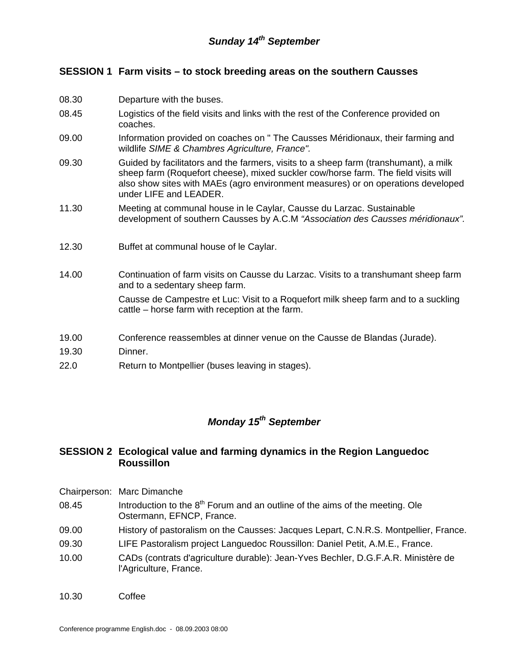#### *Sunday 14th September*

#### **SESSION 1 Farm visits – to stock breeding areas on the southern Causses**

- 08.30 Departure with the buses.
- 08.45 Logistics of the field visits and links with the rest of the Conference provided on coaches.
- 09.00 Information provided on coaches on " The Causses Méridionaux, their farming and wildlife *SIME & Chambres Agriculture, France".*
- 09.30 Guided by facilitators and the farmers, visits to a sheep farm (transhumant), a milk sheep farm (Roquefort cheese), mixed suckler cow/horse farm. The field visits will also show sites with MAEs (agro environment measures) or on operations developed under LIFE and LEADER.
- 11.30 Meeting at communal house in le Caylar, Causse du Larzac. Sustainable development of southern Causses by A.C.M *"Association des Causses méridionaux".*
- 12.30 Buffet at communal house of le Caylar.
- 14.00 Continuation of farm visits on Causse du Larzac. Visits to a transhumant sheep farm and to a sedentary sheep farm.

Causse de Campestre et Luc: Visit to a Roquefort milk sheep farm and to a suckling cattle – horse farm with reception at the farm.

- 19.00 Conference reassembles at dinner venue on the Causse de Blandas (Jurade).
- 19.30 Dinner.
- 22.0 Return to Montpellier (buses leaving in stages).

#### *Monday 15th September*

#### **SESSION 2 Ecological value and farming dynamics in the Region Languedoc Roussillon**

- Chairperson: Marc Dimanche
- 08.45 Introduction to the  $8<sup>th</sup>$  Forum and an outline of the aims of the meeting. Ole Ostermann, EFNCP, France.
- 09.00 History of pastoralism on the Causses: Jacques Lepart, C.N.R.S. Montpellier, France.
- 09.30 LIFE Pastoralism project Languedoc Roussillon: Daniel Petit, A.M.E., France.
- 10.00 CADs (contrats d'agriculture durable): Jean-Yves Bechler, D.G.F.A.R. Ministère de l'Agriculture, France.
- 10.30 Coffee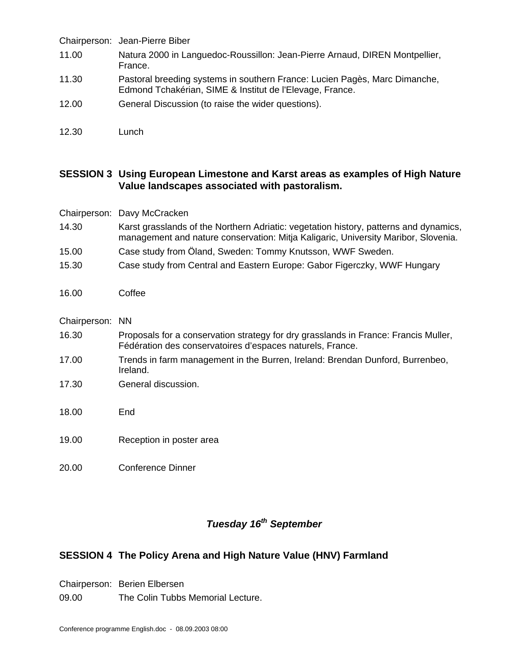|       | Chairperson: Jean-Pierre Biber                                                                                                         |
|-------|----------------------------------------------------------------------------------------------------------------------------------------|
| 11.00 | Natura 2000 in Languedoc-Roussillon: Jean-Pierre Arnaud, DIREN Montpellier,<br>France.                                                 |
| 11.30 | Pastoral breeding systems in southern France: Lucien Pagès, Marc Dimanche,<br>Edmond Tchakérian, SIME & Institut de l'Elevage, France. |
| 12.00 | General Discussion (to raise the wider questions).                                                                                     |
| 12.30 | Lunch                                                                                                                                  |

#### **SESSION 3 Using European Limestone and Karst areas as examples of High Nature Value landscapes associated with pastoralism.**

|                 | Chairperson: Davy McCracken                                                                                                                                                 |
|-----------------|-----------------------------------------------------------------------------------------------------------------------------------------------------------------------------|
| 14.30           | Karst grasslands of the Northern Adriatic: vegetation history, patterns and dynamics,<br>management and nature conservation: Mitja Kaligaric, University Maribor, Slovenia. |
| 15.00           | Case study from Oland, Sweden: Tommy Knutsson, WWF Sweden.                                                                                                                  |
| 15.30           | Case study from Central and Eastern Europe: Gabor Figerczky, WWF Hungary                                                                                                    |
| 16.00           | Coffee                                                                                                                                                                      |
| Chairperson: NN |                                                                                                                                                                             |
| 16.30           | Proposals for a conservation strategy for dry grasslands in France: Francis Muller,<br>Fédération des conservatoires d'espaces naturels, France.                            |
| 17.00           | Trends in farm management in the Burren, Ireland: Brendan Dunford, Burrenbeo,<br>Ireland.                                                                                   |
| 17.30           | General discussion.                                                                                                                                                         |
| 18.00           | End                                                                                                                                                                         |
| 19.00           | Reception in poster area                                                                                                                                                    |
| 20.00           | <b>Conference Dinner</b>                                                                                                                                                    |

## *Tuesday 16th September*

#### **SESSION 4 The Policy Arena and High Nature Value (HNV) Farmland**

Chairperson: Berien Elbersen

09.00 The Colin Tubbs Memorial Lecture.